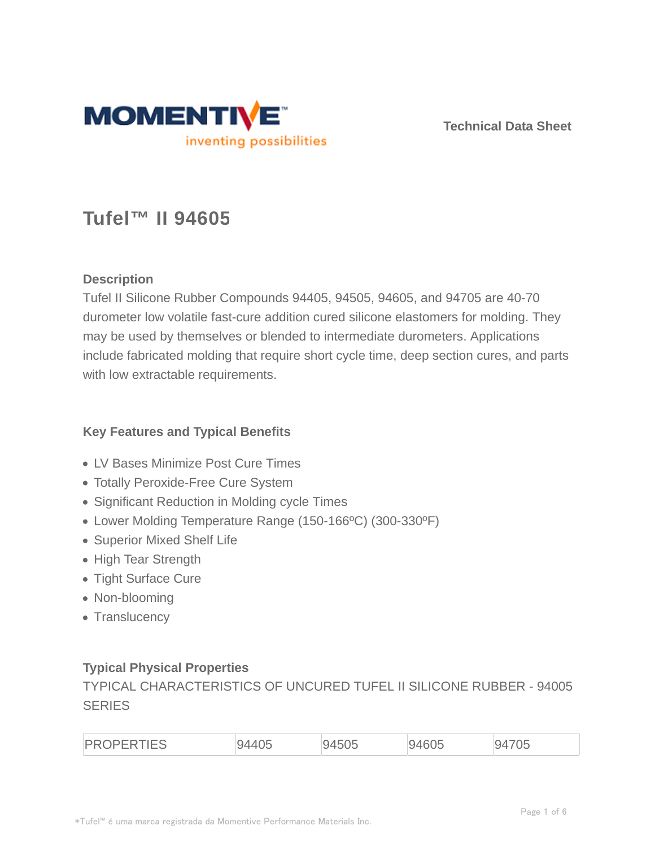

**Technical Data Sheet**

# **Tufel™ II 94605**

## **Description**

Tufel II Silicone Rubber Compounds 94405, 94505, 94605, and 94705 are 40-70 durometer low volatile fast-cure addition cured silicone elastomers for molding. They may be used by themselves or blended to intermediate durometers. Applications include fabricated molding that require short cycle time, deep section cures, and parts with low extractable requirements.

## **Key Features and Typical Benefits**

- LV Bases Minimize Post Cure Times
- Totally Peroxide-Free Cure System
- Significant Reduction in Molding cycle Times
- Lower Molding Temperature Range (150-166ºC) (300-330ºF)
- Superior Mixed Shelf Life
- High Tear Strength
- Tight Surface Cure
- Non-blooming
- Translucency

### **Typical Physical Properties**

TYPICAL CHARACTERISTICS OF UNCURED TUFEL II SILICONE RUBBER - 94005 **SERIES** 

| D |  | $\sim$ |  | $-$ |
|---|--|--------|--|-----|
|---|--|--------|--|-----|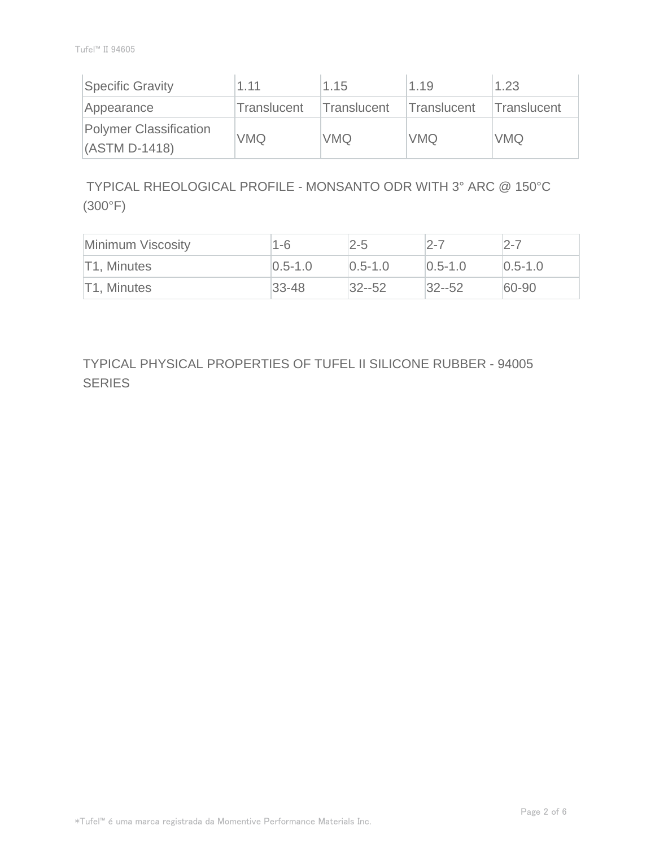| Specific Gravity                          | 1.11               | 1.15        | 1.19        | 1.23        |
|-------------------------------------------|--------------------|-------------|-------------|-------------|
| Appearance                                | <b>Translucent</b> | Translucent | Translucent | Translucent |
| Polymer Classification<br>$(ASTM D-1418)$ | <b>VMQ</b>         | VMQ         | <b>VMQ</b>  | <b>VMQ</b>  |

 TYPICAL RHEOLOGICAL PROFILE - MONSANTO ODR WITH 3° ARC @ 150°C (300°F)

| Minimum Viscosity | 1-6           | $2 - 5$       | $2 - 7$       | $2 - 7$       |
|-------------------|---------------|---------------|---------------|---------------|
| T1, Minutes       | $ 0.5 - 1.0 $ | $ 0.5 - 1.0 $ | $ 0.5 - 1.0 $ | $ 0.5 - 1.0 $ |
| T1, Minutes       | $ 33 - 48 $   | $ 32 - 52 $   | $ 32 - 52 $   | $60 - 90$     |

TYPICAL PHYSICAL PROPERTIES OF TUFEL II SILICONE RUBBER - 94005 **SERIES**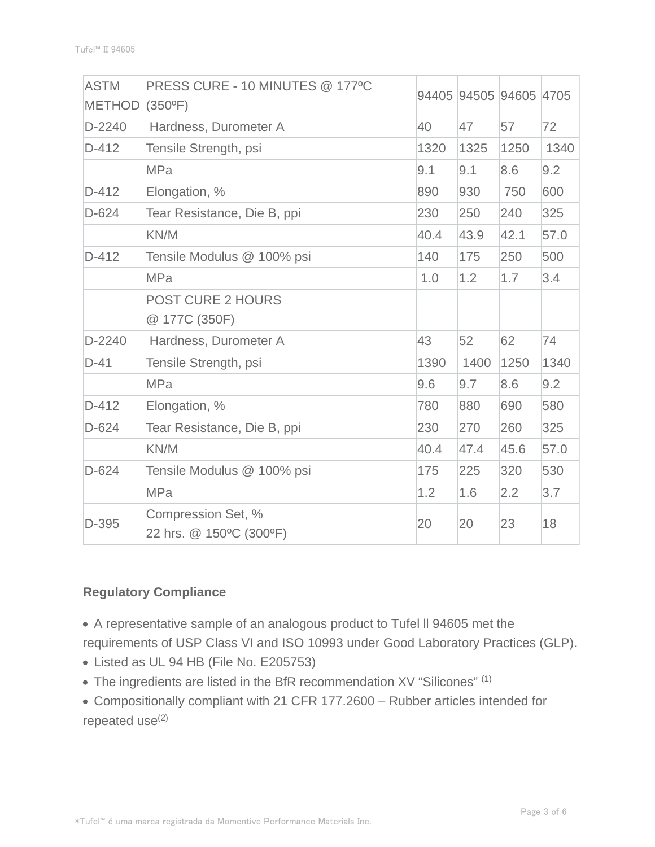| <b>ASTM</b><br><b>METHOD</b> | PRESS CURE - 10 MINUTES @ 177°C<br>$(350^{\circ}F)$ |      |      | 94405 94505 94605 4705 |      |
|------------------------------|-----------------------------------------------------|------|------|------------------------|------|
| D-2240                       | Hardness, Durometer A                               | 40   | 47   | 57                     | 72   |
| $D-412$                      | Tensile Strength, psi                               | 1320 | 1325 | 1250                   | 1340 |
|                              | <b>MPa</b>                                          | 9.1  | 9.1  | 8.6                    | 9.2  |
| D-412                        | Elongation, %                                       | 890  | 930  | 750                    | 600  |
| $D-624$                      | Tear Resistance, Die B, ppi                         | 230  | 250  | 240                    | 325  |
|                              | KN/M                                                | 40.4 | 43.9 | 42.1                   | 57.0 |
| $D-412$                      | Tensile Modulus @ 100% psi                          | 140  | 175  | 250                    | 500  |
|                              | <b>MPa</b>                                          | 1.0  | 1.2  | 1.7                    | 3.4  |
|                              | <b>POST CURE 2 HOURS</b><br>@ 177C (350F)           |      |      |                        |      |
| $D-2240$                     | Hardness, Durometer A                               | 43   | 52   | 62                     | 74   |
| $D-41$                       | Tensile Strength, psi                               | 1390 | 1400 | 1250                   | 1340 |
|                              | <b>MPa</b>                                          | 9.6  | 9.7  | 8.6                    | 9.2  |
| $D-412$                      | Elongation, %                                       | 780  | 880  | 690                    | 580  |
| $D-624$                      | Tear Resistance, Die B, ppi                         | 230  | 270  | 260                    | 325  |
|                              | KN/M                                                | 40.4 | 47.4 | 45.6                   | 57.0 |
| $D-624$                      | Tensile Modulus @ 100% psi                          | 175  | 225  | 320                    | 530  |
|                              | <b>MPa</b>                                          | 1.2  | 1.6  | 2.2                    | 3.7  |
| D-395                        | Compression Set, %<br>22 hrs. @ 150°C (300°F)       | 20   | 20   | 23                     | 18   |

## **Regulatory Compliance**

A representative sample of an analogous product to Tufel ll 94605 met the

- requirements of USP Class VI and ISO 10993 under Good Laboratory Practices (GLP).
- Listed as UL 94 HB (File No. E205753)
- The ingredients are listed in the BfR recommendation XV "Silicones" (1)
- Compositionally compliant with 21 CFR 177.2600 Rubber articles intended for repeated use<sup>(2)</sup>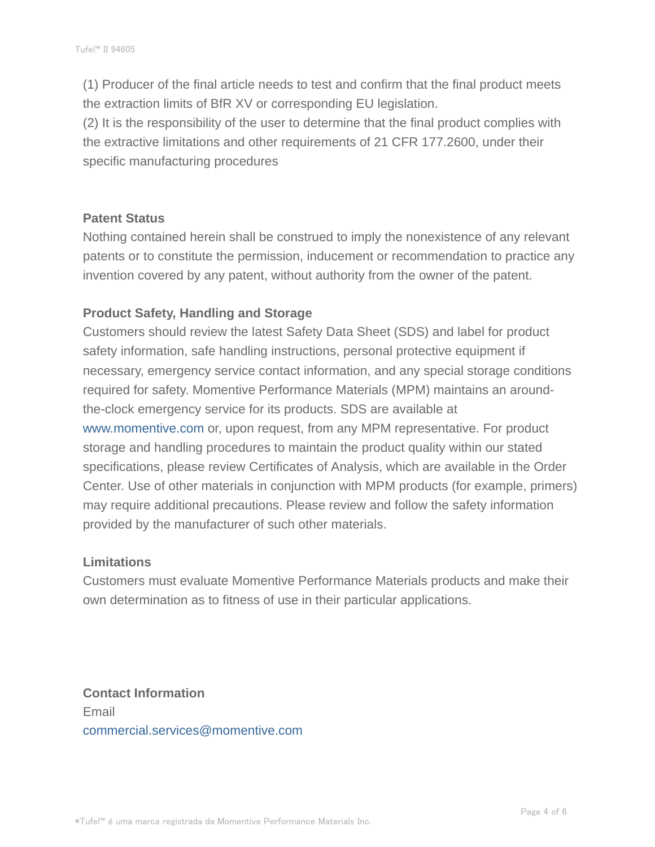(1) Producer of the final article needs to test and confirm that the final product meets the extraction limits of BfR XV or corresponding EU legislation.

(2) It is the responsibility of the user to determine that the final product complies with the extractive limitations and other requirements of 21 CFR 177.2600, under their specific manufacturing procedures

#### **Patent Status**

Nothing contained herein shall be construed to imply the nonexistence of any relevant patents or to constitute the permission, inducement or recommendation to practice any invention covered by any patent, without authority from the owner of the patent.

## **Product Safety, Handling and Storage**

Customers should review the latest Safety Data Sheet (SDS) and label for product safety information, safe handling instructions, personal protective equipment if necessary, emergency service contact information, and any special storage conditions required for safety. Momentive Performance Materials (MPM) maintains an aroundthe-clock emergency service for its products. SDS are available at www.momentive.com or, upon request, from any MPM representative. For product storage and handling procedures to maintain the product quality within our stated specifications, please review Certificates of Analysis, which are available in the Order Center. Use of other materials in conjunction with MPM products (for example, primers) may require additional precautions. Please review and follow the safety information provided by the manufacturer of such other materials.

### **Limitations**

Customers must evaluate Momentive Performance Materials products and make their own determination as to fitness of use in their particular applications.

**Contact Information** Email commercial.services@momentive.com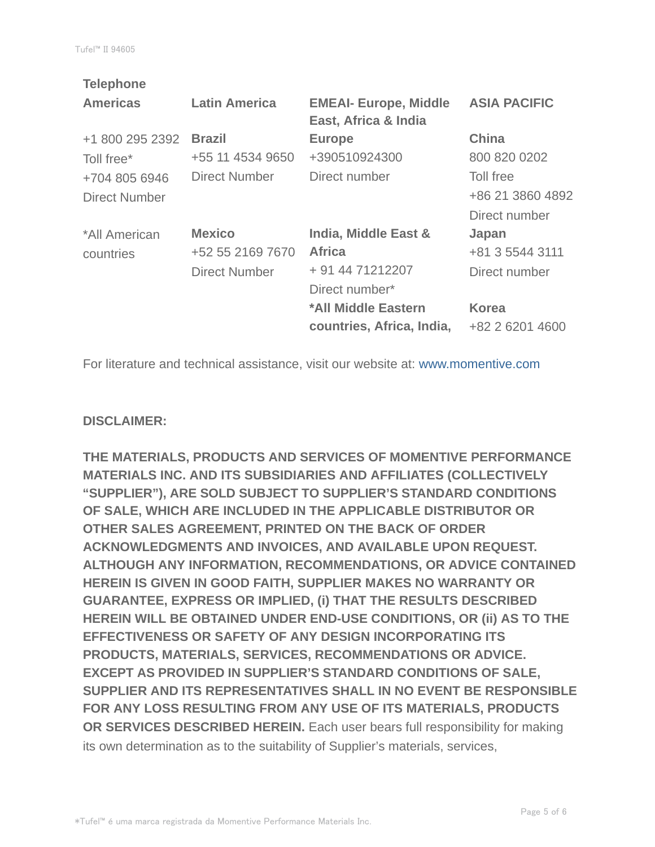| <b>Telephone</b> |                      |                              |                     |
|------------------|----------------------|------------------------------|---------------------|
| <b>Americas</b>  | <b>Latin America</b> | <b>EMEAI- Europe, Middle</b> | <b>ASIA PACIFIC</b> |
|                  |                      | East, Africa & India         |                     |
| +1 800 295 2392  | <b>Brazil</b>        | <b>Europe</b>                | <b>China</b>        |
| Toll free*       | +55 11 4534 9650     | +390510924300                | 800 820 0202        |
| +704 805 6946    | <b>Direct Number</b> | Direct number                | Toll free           |
| Direct Number    |                      |                              | +86 21 3860 4892    |
|                  |                      |                              | Direct number       |
| *All American    | <b>Mexico</b>        | India, Middle East &         | Japan               |
| countries        | +52 55 2169 7670     | <b>Africa</b>                | +81 3 5544 3111     |
|                  | <b>Direct Number</b> | + 91 44 71212207             | Direct number       |
|                  |                      | Direct number*               |                     |
|                  |                      | *All Middle Eastern          | <b>Korea</b>        |
|                  |                      | countries, Africa, India,    | +82 2 6201 4600     |
|                  |                      |                              |                     |

For literature and technical assistance, visit our website at: www.momentive.com

#### **DISCLAIMER:**

**THE MATERIALS, PRODUCTS AND SERVICES OF MOMENTIVE PERFORMANCE MATERIALS INC. AND ITS SUBSIDIARIES AND AFFILIATES (COLLECTIVELY "SUPPLIER"), ARE SOLD SUBJECT TO SUPPLIER'S STANDARD CONDITIONS OF SALE, WHICH ARE INCLUDED IN THE APPLICABLE DISTRIBUTOR OR OTHER SALES AGREEMENT, PRINTED ON THE BACK OF ORDER ACKNOWLEDGMENTS AND INVOICES, AND AVAILABLE UPON REQUEST. ALTHOUGH ANY INFORMATION, RECOMMENDATIONS, OR ADVICE CONTAINED HEREIN IS GIVEN IN GOOD FAITH, SUPPLIER MAKES NO WARRANTY OR GUARANTEE, EXPRESS OR IMPLIED, (i) THAT THE RESULTS DESCRIBED HEREIN WILL BE OBTAINED UNDER END-USE CONDITIONS, OR (ii) AS TO THE EFFECTIVENESS OR SAFETY OF ANY DESIGN INCORPORATING ITS PRODUCTS, MATERIALS, SERVICES, RECOMMENDATIONS OR ADVICE. EXCEPT AS PROVIDED IN SUPPLIER'S STANDARD CONDITIONS OF SALE, SUPPLIER AND ITS REPRESENTATIVES SHALL IN NO EVENT BE RESPONSIBLE FOR ANY LOSS RESULTING FROM ANY USE OF ITS MATERIALS, PRODUCTS OR SERVICES DESCRIBED HEREIN.** Each user bears full responsibility for making its own determination as to the suitability of Supplier's materials, services,